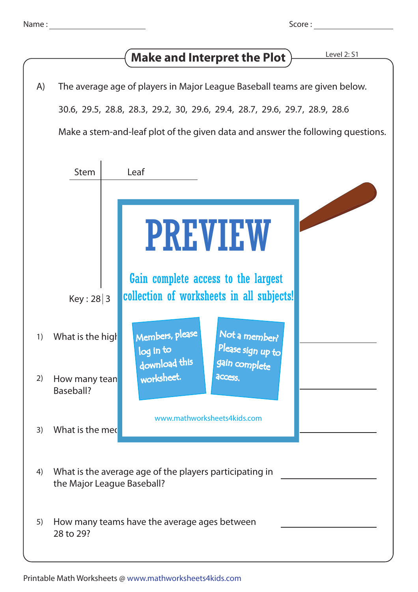## **Make and Interpret the Plot**

|  |  |  |  |  | A) The average age of players in Major League Baseball teams are given below. |
|--|--|--|--|--|-------------------------------------------------------------------------------|
|--|--|--|--|--|-------------------------------------------------------------------------------|

30.6, 29.5, 28.8, 28.3, 29.2, 30, 29.6, 29.4, 28.7, 29.6, 29.7, 28.9, 28.6

Make a stem-and-leaf plot of the given data and answer the following questions.

|    | <b>Stem</b>                                                                           | Leaf                                                                                |  |  |  |
|----|---------------------------------------------------------------------------------------|-------------------------------------------------------------------------------------|--|--|--|
|    |                                                                                       | <b>PREVIEW</b><br>Gain complete access to the largest                               |  |  |  |
|    | Key: 28 3                                                                             | collection of worksheets in all subjects!                                           |  |  |  |
| 1) | What is the high                                                                      | Members, please<br>Not a member?<br>Please sign up to<br>log in to<br>download this |  |  |  |
| 2) | How many tean<br>Baseball?                                                            | gain complete<br>worksheet.<br>access.                                              |  |  |  |
| 3) | What is the med                                                                       | www.mathworksheets4kids.com                                                         |  |  |  |
| 4) | What is the average age of the players participating in<br>the Major League Baseball? |                                                                                     |  |  |  |
| 5) | How many teams have the average ages between<br>28 to 29?                             |                                                                                     |  |  |  |